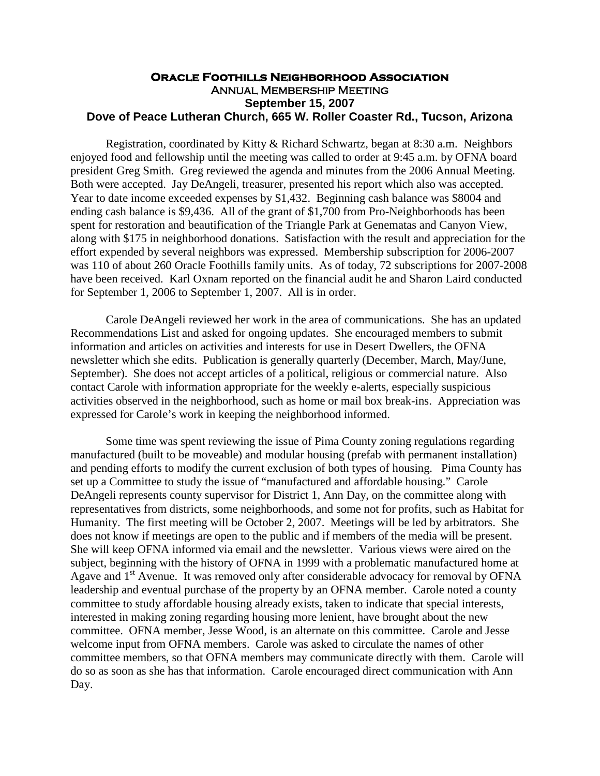## **Oracle Foothills Neighborhood Association** Annual Membership Meeting **September 15, 2007 Dove of Peace Lutheran Church, 665 W. Roller Coaster Rd., Tucson, Arizona**

Registration, coordinated by Kitty & Richard Schwartz, began at 8:30 a.m. Neighbors enjoyed food and fellowship until the meeting was called to order at 9:45 a.m. by OFNA board president Greg Smith. Greg reviewed the agenda and minutes from the 2006 Annual Meeting. Both were accepted. Jay DeAngeli, treasurer, presented his report which also was accepted. Year to date income exceeded expenses by \$1,432. Beginning cash balance was \$8004 and ending cash balance is \$9,436. All of the grant of \$1,700 from Pro-Neighborhoods has been spent for restoration and beautification of the Triangle Park at Genematas and Canyon View, along with \$175 in neighborhood donations. Satisfaction with the result and appreciation for the effort expended by several neighbors was expressed. Membership subscription for 2006-2007 was 110 of about 260 Oracle Foothills family units. As of today, 72 subscriptions for 2007-2008 have been received. Karl Oxnam reported on the financial audit he and Sharon Laird conducted for September 1, 2006 to September 1, 2007. All is in order.

Carole DeAngeli reviewed her work in the area of communications. She has an updated Recommendations List and asked for ongoing updates. She encouraged members to submit information and articles on activities and interests for use in Desert Dwellers, the OFNA newsletter which she edits. Publication is generally quarterly (December, March, May/June, September). She does not accept articles of a political, religious or commercial nature. Also contact Carole with information appropriate for the weekly e-alerts, especially suspicious activities observed in the neighborhood, such as home or mail box break-ins. Appreciation was expressed for Carole's work in keeping the neighborhood informed.

Some time was spent reviewing the issue of Pima County zoning regulations regarding manufactured (built to be moveable) and modular housing (prefab with permanent installation) and pending efforts to modify the current exclusion of both types of housing. Pima County has set up a Committee to study the issue of "manufactured and affordable housing." Carole DeAngeli represents county supervisor for District 1, Ann Day, on the committee along with representatives from districts, some neighborhoods, and some not for profits, such as Habitat for Humanity. The first meeting will be October 2, 2007. Meetings will be led by arbitrators. She does not know if meetings are open to the public and if members of the media will be present. She will keep OFNA informed via email and the newsletter. Various views were aired on the subject, beginning with the history of OFNA in 1999 with a problematic manufactured home at Agave and 1<sup>st</sup> Avenue. It was removed only after considerable advocacy for removal by OFNA leadership and eventual purchase of the property by an OFNA member. Carole noted a county committee to study affordable housing already exists, taken to indicate that special interests, interested in making zoning regarding housing more lenient, have brought about the new committee. OFNA member, Jesse Wood, is an alternate on this committee. Carole and Jesse welcome input from OFNA members. Carole was asked to circulate the names of other committee members, so that OFNA members may communicate directly with them. Carole will do so as soon as she has that information. Carole encouraged direct communication with Ann Day.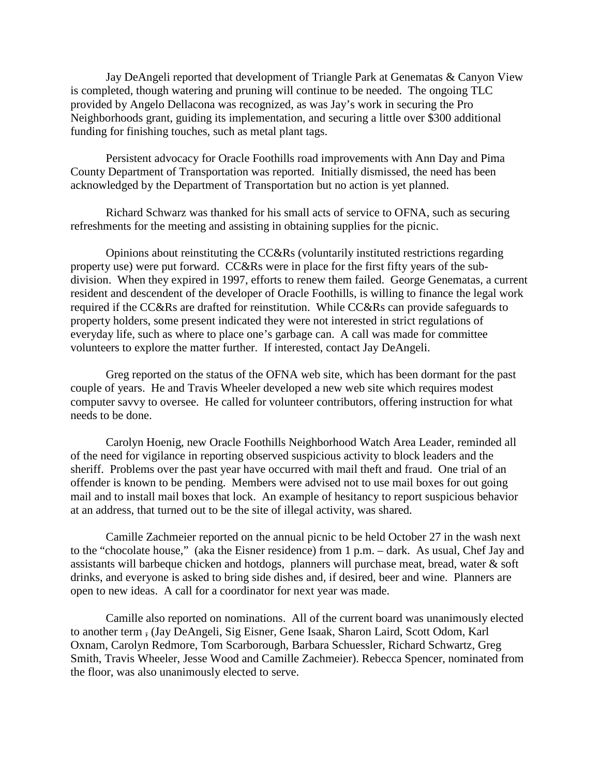Jay DeAngeli reported that development of Triangle Park at Genematas & Canyon View is completed, though watering and pruning will continue to be needed. The ongoing TLC provided by Angelo Dellacona was recognized, as was Jay's work in securing the Pro Neighborhoods grant, guiding its implementation, and securing a little over \$300 additional funding for finishing touches, such as metal plant tags.

Persistent advocacy for Oracle Foothills road improvements with Ann Day and Pima County Department of Transportation was reported. Initially dismissed, the need has been acknowledged by the Department of Transportation but no action is yet planned.

Richard Schwarz was thanked for his small acts of service to OFNA, such as securing refreshments for the meeting and assisting in obtaining supplies for the picnic.

Opinions about reinstituting the CC&Rs (voluntarily instituted restrictions regarding property use) were put forward. CC&Rs were in place for the first fifty years of the subdivision. When they expired in 1997, efforts to renew them failed. George Genematas, a current resident and descendent of the developer of Oracle Foothills, is willing to finance the legal work required if the CC&Rs are drafted for reinstitution. While CC&Rs can provide safeguards to property holders, some present indicated they were not interested in strict regulations of everyday life, such as where to place one's garbage can. A call was made for committee volunteers to explore the matter further. If interested, contact Jay DeAngeli.

Greg reported on the status of the OFNA web site, which has been dormant for the past couple of years. He and Travis Wheeler developed a new web site which requires modest computer savvy to oversee. He called for volunteer contributors, offering instruction for what needs to be done.

Carolyn Hoenig, new Oracle Foothills Neighborhood Watch Area Leader, reminded all of the need for vigilance in reporting observed suspicious activity to block leaders and the sheriff. Problems over the past year have occurred with mail theft and fraud. One trial of an offender is known to be pending. Members were advised not to use mail boxes for out going mail and to install mail boxes that lock. An example of hesitancy to report suspicious behavior at an address, that turned out to be the site of illegal activity, was shared.

Camille Zachmeier reported on the annual picnic to be held October 27 in the wash next to the "chocolate house," (aka the Eisner residence) from 1 p.m. – dark. As usual, Chef Jay and assistants will barbeque chicken and hotdogs, planners will purchase meat, bread, water & soft drinks, and everyone is asked to bring side dishes and, if desired, beer and wine. Planners are open to new ideas. A call for a coordinator for next year was made.

Camille also reported on nominations. All of the current board was unanimously elected to another term , (Jay DeAngeli, Sig Eisner, Gene Isaak, Sharon Laird, Scott Odom, Karl Oxnam, Carolyn Redmore, Tom Scarborough, Barbara Schuessler, Richard Schwartz, Greg Smith, Travis Wheeler, Jesse Wood and Camille Zachmeier). Rebecca Spencer, nominated from the floor, was also unanimously elected to serve.